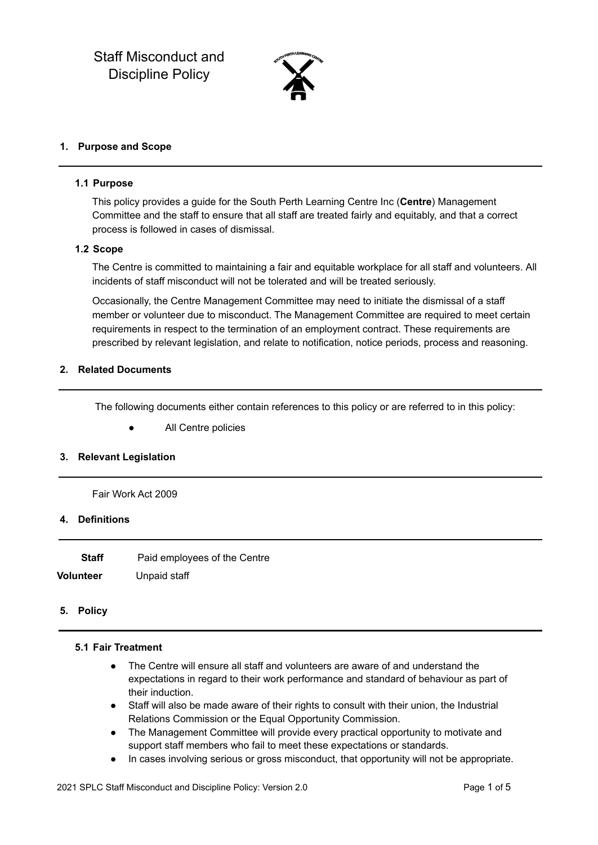

#### **1. Purpose and Scope**

#### **1.1 Purpose**

This policy provides a guide for the South Perth Learning Centre Inc (**Centre**) Management Committee and the staff to ensure that all staff are treated fairly and equitably, and that a correct process is followed in cases of dismissal.

#### **1.2 Scope**

The Centre is committed to maintaining a fair and equitable workplace for all staff and volunteers. All incidents of staff misconduct will not be tolerated and will be treated seriously.

Occasionally, the Centre Management Committee may need to initiate the dismissal of a staff member or volunteer due to misconduct. The Management Committee are required to meet certain requirements in respect to the termination of an employment contract. These requirements are prescribed by relevant legislation, and relate to notification, notice periods, process and reasoning.

#### **2. Related Documents**

The following documents either contain references to this policy or are referred to in this policy:

● All Centre policies

#### **3. Relevant Legislation**

Fair Work Act 2009

# **4. Definitions**

| Staff     | Paid employees of the Centre |
|-----------|------------------------------|
| Volunteer | Unpaid staff                 |

#### **5. Policy**

#### **5.1 Fair Treatment**

- The Centre will ensure all staff and volunteers are aware of and understand the expectations in regard to their work performance and standard of behaviour as part of their induction.
- Staff will also be made aware of their rights to consult with their union, the Industrial Relations Commission or the Equal Opportunity Commission.
- The Management Committee will provide every practical opportunity to motivate and support staff members who fail to meet these expectations or standards.
- In cases involving serious or gross misconduct, that opportunity will not be appropriate.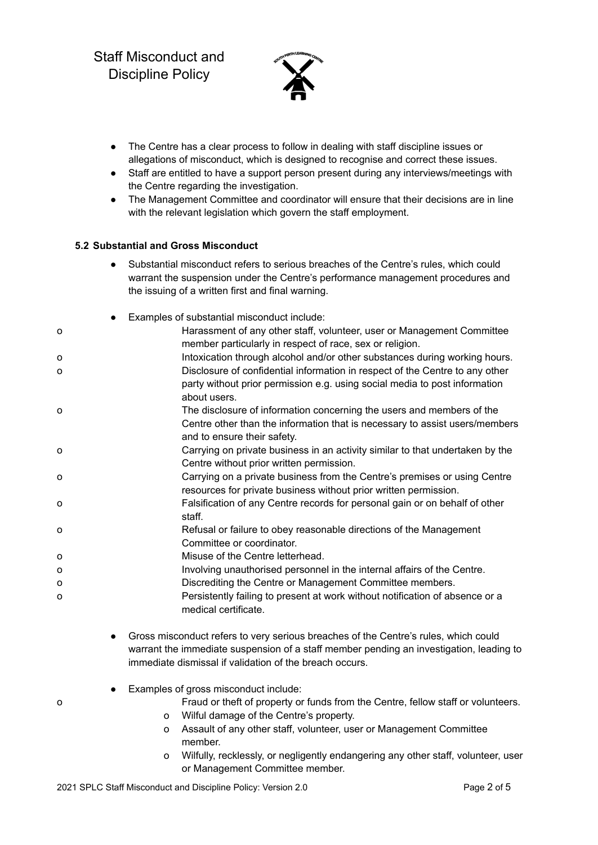

- The Centre has a clear process to follow in dealing with staff discipline issues or allegations of misconduct, which is designed to recognise and correct these issues.
- Staff are entitled to have a support person present during any interviews/meetings with the Centre regarding the investigation.
- The Management Committee and coordinator will ensure that their decisions are in line with the relevant legislation which govern the staff employment.

# **5.2 Substantial and Gross Misconduct**

● Substantial misconduct refers to serious breaches of the Centre's rules, which could warrant the suspension under the Centre's performance management procedures and the issuing of a written first and final warning.

|   | Examples of substantial misconduct include:                                                                                                                                         |
|---|-------------------------------------------------------------------------------------------------------------------------------------------------------------------------------------|
| О | Harassment of any other staff, volunteer, user or Management Committee<br>member particularly in respect of race, sex or religion.                                                  |
| о | Intoxication through alcohol and/or other substances during working hours.                                                                                                          |
| 0 | Disclosure of confidential information in respect of the Centre to any other<br>party without prior permission e.g. using social media to post information<br>about users.          |
| o | The disclosure of information concerning the users and members of the<br>Centre other than the information that is necessary to assist users/members<br>and to ensure their safety. |
| 0 | Carrying on private business in an activity similar to that undertaken by the<br>Centre without prior written permission.                                                           |
| О | Carrying on a private business from the Centre's premises or using Centre<br>resources for private business without prior written permission.                                       |
| О | Falsification of any Centre records for personal gain or on behalf of other<br>staff.                                                                                               |
| О | Refusal or failure to obey reasonable directions of the Management<br>Committee or coordinator.                                                                                     |
| 0 | Misuse of the Centre letterhead.                                                                                                                                                    |
| 0 | Involving unauthorised personnel in the internal affairs of the Centre.                                                                                                             |
| 0 | Discrediting the Centre or Management Committee members.                                                                                                                            |
| 0 | Persistently failing to present at work without notification of absence or a<br>medical certificate.                                                                                |

- Gross misconduct refers to very serious breaches of the Centre's rules, which could warrant the immediate suspension of a staff member pending an investigation, leading to immediate dismissal if validation of the breach occurs.
- Examples of gross misconduct include:
- o Fraud or theft of property or funds from the Centre, fellow staff or volunteers.
	- o Wilful damage of the Centre's property.
	- o Assault of any other staff, volunteer, user or Management Committee member.
	- o Wilfully, recklessly, or negligently endangering any other staff, volunteer, user or Management Committee member.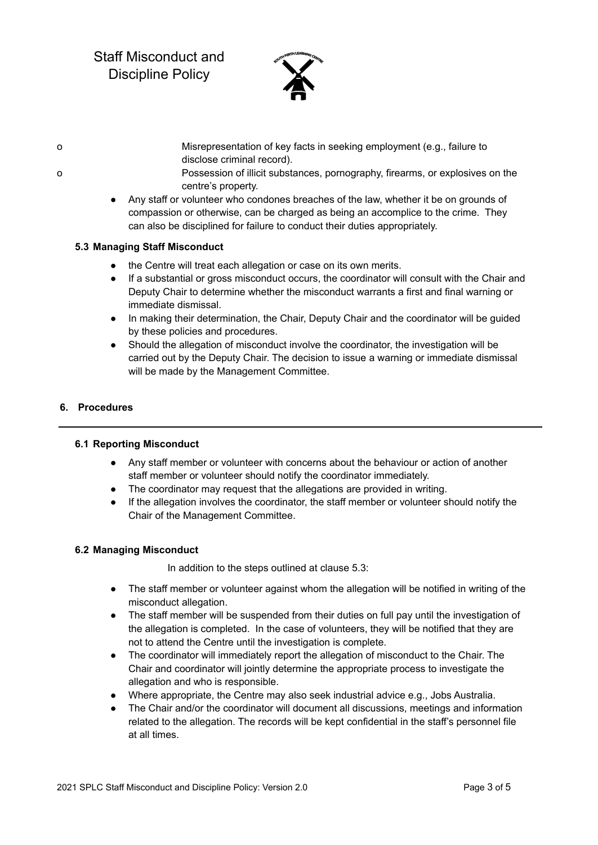# Staff Misconduct and Discipline Policy



- o Misrepresentation of key facts in seeking employment (e.g., failure to disclose criminal record).
- o Possession of illicit substances, pornography, firearms, or explosives on the centre's property.
	- Any staff or volunteer who condones breaches of the law, whether it be on grounds of compassion or otherwise, can be charged as being an accomplice to the crime. They can also be disciplined for failure to conduct their duties appropriately.

# **5.3 Managing Staff Misconduct**

- the Centre will treat each allegation or case on its own merits.
- If a substantial or gross misconduct occurs, the coordinator will consult with the Chair and Deputy Chair to determine whether the misconduct warrants a first and final warning or immediate dismissal.
- In making their determination, the Chair, Deputy Chair and the coordinator will be guided by these policies and procedures.
- Should the allegation of misconduct involve the coordinator, the investigation will be carried out by the Deputy Chair. The decision to issue a warning or immediate dismissal will be made by the Management Committee.

#### **6. Procedures**

#### **6.1 Reporting Misconduct**

- Any staff member or volunteer with concerns about the behaviour or action of another staff member or volunteer should notify the coordinator immediately.
- The coordinator may request that the allegations are provided in writing.
- If the allegation involves the coordinator, the staff member or volunteer should notify the Chair of the Management Committee.

#### **6.2 Managing Misconduct**

In addition to the steps outlined at clause 5.3:

- The staff member or volunteer against whom the allegation will be notified in writing of the misconduct allegation.
- The staff member will be suspended from their duties on full pay until the investigation of the allegation is completed. In the case of volunteers, they will be notified that they are not to attend the Centre until the investigation is complete.
- The coordinator will immediately report the allegation of misconduct to the Chair. The Chair and coordinator will jointly determine the appropriate process to investigate the allegation and who is responsible.
- Where appropriate, the Centre may also seek industrial advice e.g., Jobs Australia.
- The Chair and/or the coordinator will document all discussions, meetings and information related to the allegation. The records will be kept confidential in the staff's personnel file at all times.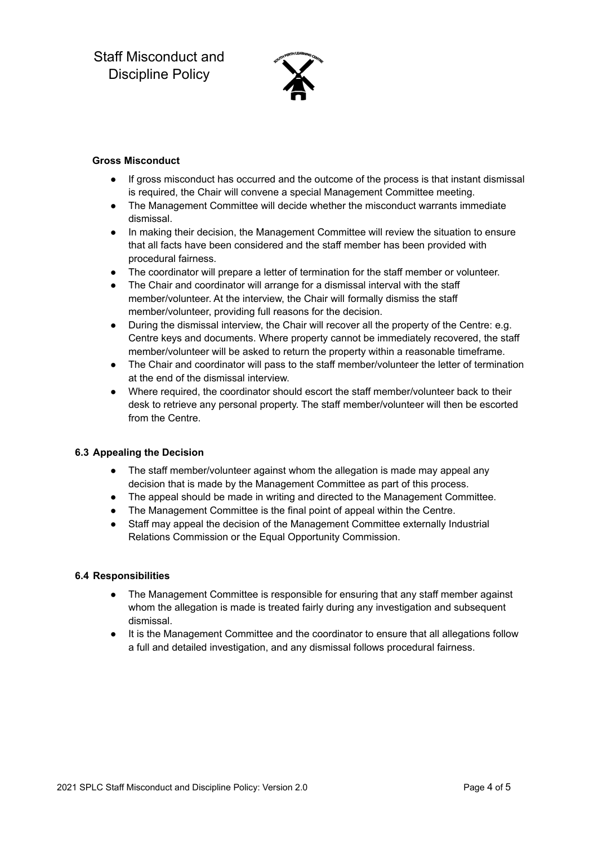

# **Gross Misconduct**

- If gross misconduct has occurred and the outcome of the process is that instant dismissal is required, the Chair will convene a special Management Committee meeting.
- The Management Committee will decide whether the misconduct warrants immediate dismissal.
- In making their decision, the Management Committee will review the situation to ensure that all facts have been considered and the staff member has been provided with procedural fairness.
- The coordinator will prepare a letter of termination for the staff member or volunteer.
- The Chair and coordinator will arrange for a dismissal interval with the staff member/volunteer. At the interview, the Chair will formally dismiss the staff member/volunteer, providing full reasons for the decision.
- During the dismissal interview, the Chair will recover all the property of the Centre: e.g. Centre keys and documents. Where property cannot be immediately recovered, the staff member/volunteer will be asked to return the property within a reasonable timeframe.
- The Chair and coordinator will pass to the staff member/volunteer the letter of termination at the end of the dismissal interview.
- Where required, the coordinator should escort the staff member/volunteer back to their desk to retrieve any personal property. The staff member/volunteer will then be escorted from the Centre.

# **6.3 Appealing the Decision**

- The staff member/volunteer against whom the allegation is made may appeal any decision that is made by the Management Committee as part of this process.
- The appeal should be made in writing and directed to the Management Committee.
- The Management Committee is the final point of appeal within the Centre.
- Staff may appeal the decision of the Management Committee externally Industrial Relations Commission or the Equal Opportunity Commission.

# **6.4 Responsibilities**

- The Management Committee is responsible for ensuring that any staff member against whom the allegation is made is treated fairly during any investigation and subsequent dismissal.
- It is the Management Committee and the coordinator to ensure that all allegations follow a full and detailed investigation, and any dismissal follows procedural fairness.